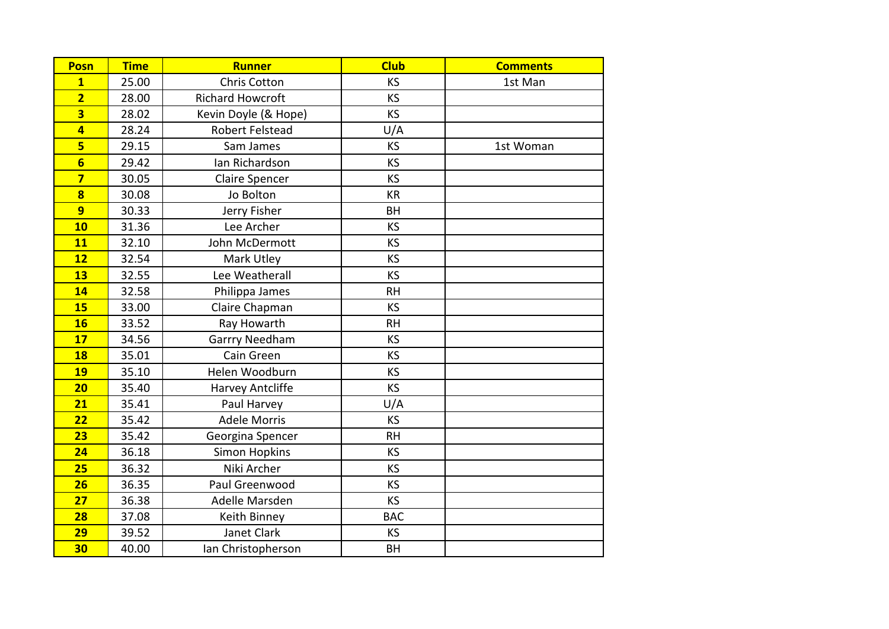| <b>Posn</b>             | <b>Time</b> | <b>Runner</b>           | <b>Club</b> | <b>Comments</b> |
|-------------------------|-------------|-------------------------|-------------|-----------------|
| $\mathbf{1}$            | 25.00       | <b>Chris Cotton</b>     | <b>KS</b>   | 1st Man         |
| $\overline{2}$          | 28.00       | <b>Richard Howcroft</b> | <b>KS</b>   |                 |
| $\overline{\mathbf{3}}$ | 28.02       | Kevin Doyle (& Hope)    | <b>KS</b>   |                 |
| 4                       | 28.24       | Robert Felstead         | U/A         |                 |
| 5                       | 29.15       | Sam James               | <b>KS</b>   | 1st Woman       |
| $6\overline{6}$         | 29.42       | Ian Richardson          | KS          |                 |
| $\overline{\mathbf{z}}$ | 30.05       | <b>Claire Spencer</b>   | <b>KS</b>   |                 |
| $\overline{\mathbf{8}}$ | 30.08       | Jo Bolton               | KR          |                 |
| 9                       | 30.33       | Jerry Fisher            | <b>BH</b>   |                 |
| 10                      | 31.36       | Lee Archer              | <b>KS</b>   |                 |
| <b>11</b>               | 32.10       | John McDermott          | KS          |                 |
| 12                      | 32.54       | Mark Utley              | <b>KS</b>   |                 |
| 13                      | 32.55       | Lee Weatherall          | <b>KS</b>   |                 |
| 14                      | 32.58       | Philippa James          | <b>RH</b>   |                 |
| 15                      | 33.00       | Claire Chapman          | KS          |                 |
| <b>16</b>               | 33.52       | Ray Howarth             | <b>RH</b>   |                 |
| 17                      | 34.56       | Garrry Needham          | <b>KS</b>   |                 |
| <b>18</b>               | 35.01       | Cain Green              | KS          |                 |
| <b>19</b>               | 35.10       | Helen Woodburn          | <b>KS</b>   |                 |
| 20                      | 35.40       | Harvey Antcliffe        | <b>KS</b>   |                 |
| 21                      | 35.41       | Paul Harvey             | U/A         |                 |
| 22                      | 35.42       | <b>Adele Morris</b>     | KS          |                 |
| 23                      | 35.42       | Georgina Spencer        | <b>RH</b>   |                 |
| 24                      | 36.18       | <b>Simon Hopkins</b>    | <b>KS</b>   |                 |
| 25                      | 36.32       | Niki Archer             | KS          |                 |
| 26                      | 36.35       | Paul Greenwood          | <b>KS</b>   |                 |
| 27                      | 36.38       | Adelle Marsden          | <b>KS</b>   |                 |
| 28                      | 37.08       | Keith Binney            | <b>BAC</b>  |                 |
| 29                      | 39.52       | Janet Clark             | <b>KS</b>   |                 |
| 30                      | 40.00       | Ian Christopherson      | BH          |                 |